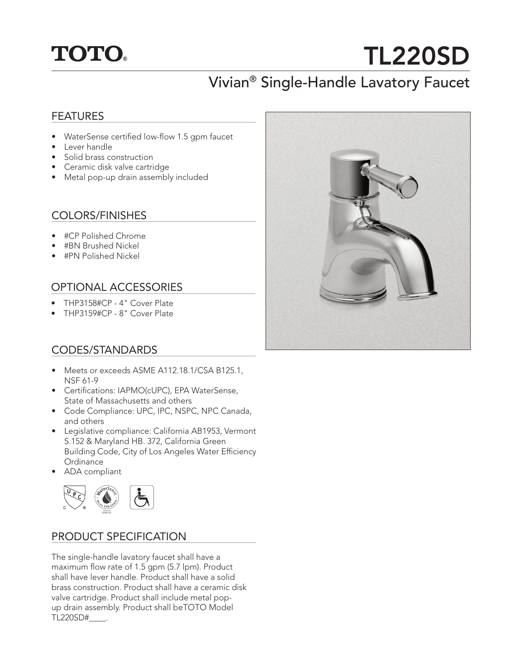## **TOTO.**

# TL220SD

### Vivian® Single-Handle Lavatory Faucet

#### FEATURES

- WaterSense certified low-flow 1.5 gpm faucet
- Lever handle
- Solid brass construction
- Ceramic disk valve cartridge
- Metal pop-up drain assembly included

#### COLORS/FINISHES

- #CP Polished Chrome
- #BN Brushed Nickel
- #PN Polished Nickel

#### OPTIONAL ACCESSORIES

- THP3158#CP 4" Cover Plate
- THP3159#CP 8" Cover Plate

#### CODES/STANDARDS

- Meets or exceeds ASME A112.18.1/CSA B125.1, NSF 61-9
- Certifications: IAPMO(cUPC), EPA WaterSense, State of Massachusetts and others
- Code Compliance: UPC, IPC, NSPC, NPC Canada, and others
- Legislative compliance: California AB1953, Vermont S.152 & Maryland HB. 372, California Green Building Code, City of Los Angeles Water Efficiency Ordinance
- ADA compliant



#### PRODUCT SPECIFICATION

The single-handle lavatory faucet shall have a maximum flow rate of 1.5 gpm (5.7 lpm). Product shall have lever handle. Product shall have a solid brass construction. Product shall have a ceramic disk valve cartridge. Product shall include metal popup drain assembly. Product shall beTOTO Model TL220SD#\_\_\_\_.